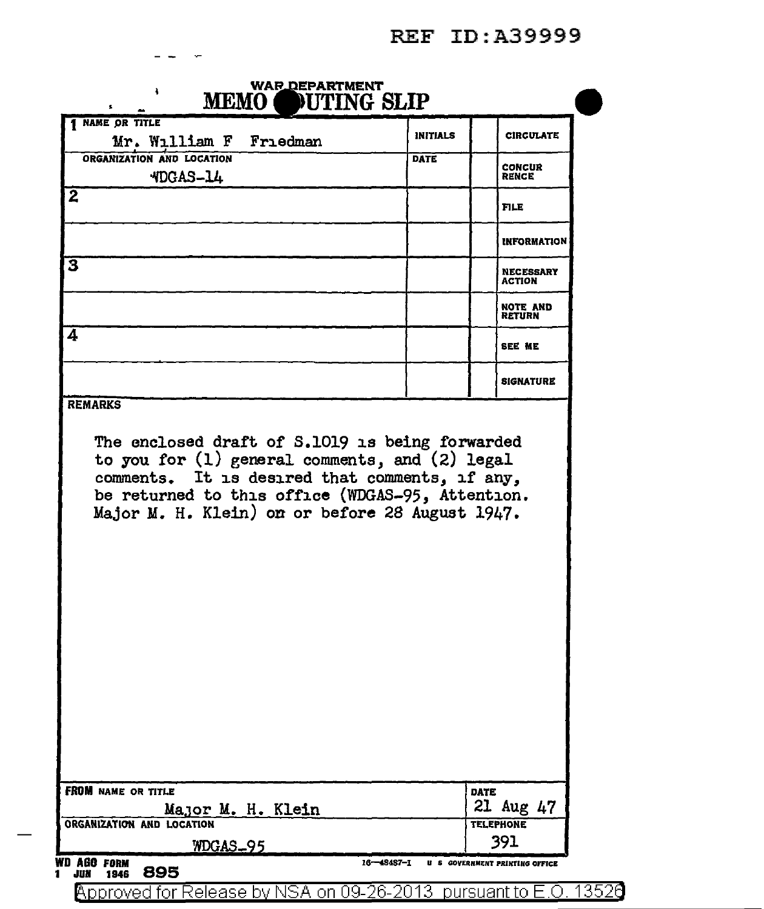| NAME OR TITLE                                                                                                                                                                                                                                           | <b>INITIALS</b> | <b>CIRCULATE</b>                  |
|---------------------------------------------------------------------------------------------------------------------------------------------------------------------------------------------------------------------------------------------------------|-----------------|-----------------------------------|
| Mr. William F Friedman                                                                                                                                                                                                                                  |                 |                                   |
| ORGANIZATION AND LOCATION                                                                                                                                                                                                                               | DATE            | <b>CONCUR</b>                     |
| <b>MDGAS-14</b>                                                                                                                                                                                                                                         |                 | <b>RENCE</b>                      |
| $\overline{2}$                                                                                                                                                                                                                                          |                 | <b>FILE</b>                       |
|                                                                                                                                                                                                                                                         |                 | <b>INFORMATION</b>                |
| 3                                                                                                                                                                                                                                                       |                 | <b>NECESSARY</b><br><b>ACTION</b> |
|                                                                                                                                                                                                                                                         |                 | <b>NOTE AND</b><br><b>RETURN</b>  |
| 4                                                                                                                                                                                                                                                       |                 | SEE ME                            |
|                                                                                                                                                                                                                                                         |                 | <b>SIGNATURE</b>                  |
| <b>REMARKS</b>                                                                                                                                                                                                                                          |                 |                                   |
| The enclosed draft of S.1019 is being forwarded<br>to you for (1) general comments, and (2) legal comments. It is desired that comments, if any,<br>be returned to this office (WDGAS-95, Attention.<br>Major M. H. Klein) on or before 28 August 1947. |                 |                                   |
|                                                                                                                                                                                                                                                         |                 |                                   |
| <b>FROM</b> NAME OR TITLE                                                                                                                                                                                                                               |                 | <b>DATE</b>                       |
| Major M. H. Klein<br>ORGANIZATION AND LOCATION                                                                                                                                                                                                          |                 | 21 Aug 47<br><b>TELEPHONE</b>     |

Approved for Release by NSA on 09-26-2013 pursuant to E.O. 13526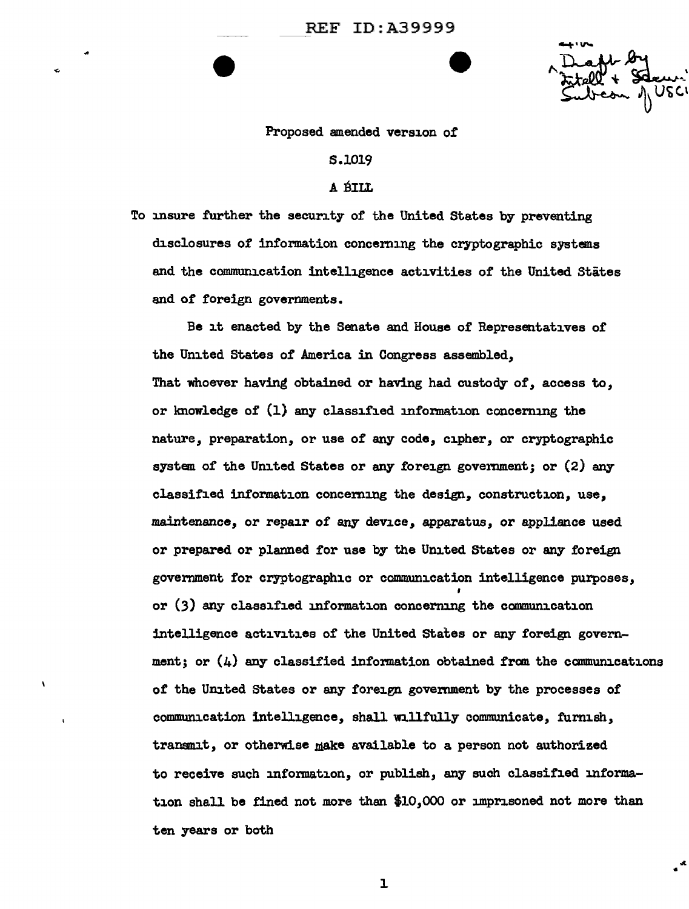UδC

•

## Proposed amended version or

## s.1019

## A BILL

To insure further the security or the United States by preventing disclosures of information concerning the cryptographic systems and the communication intelligence activities of the United States end of foreign governments.

Be it enacted by the Senate and House of Representatives of the United States of America in Congress assembled, That whoever having obtained or having had custody of, access to, or knowledge of  $(1)$  any classified information concerning the nature, preparation, or use of any code, cipher, or cryptographic system of the United States or any foreign government; or (2) any classified information concerning the design, construction, use, maintenance, or repair of any device, apparatus, or appliance used or prepared or planned for use by the United States or any foreign government for cryptographic or communication intelligence purposes, , or (3) any classified information concerning the communication intelligence activities of the United States or any foreign government; or  $(4)$  any classified information obtained from the communications of the United States or any foreign government by the processes of communication intelligence, shall nlli'ully communicate, furnish, transmit, or otherwise make available to a person not authorized to receive such information, or publish, any such classified information shall be fined not more than \$10.,000 or imprisoned not more than ten years or both

l.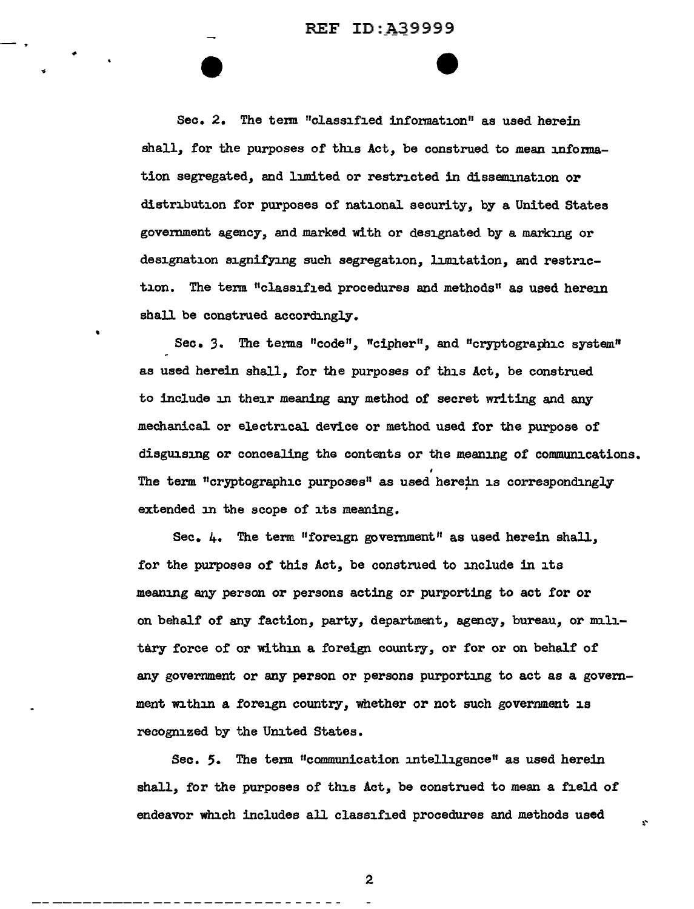REF ID:A39999

 $\bullet$ 

 $-$  .

•

Sec. 2. The term "classified information" as used herein shall, for the purposes of this Act, be construed to mean information segregated, and limited or restricted in dissemination or distribution for purposes of national security, by a United States government agency, and marked with or designated by a marking or designation signifying such segregation, limitation, and restriction. The term "classified procedures and methods" as used herein shall be construed accordingly.

Sec. 3. The terms "code", "cipher", and "cryptographic system" as used herein shall, for the purposes of this Act, be construed to include in their meaning any method of secret writing and any mechanical or electrical device or method used for the purpose of disguising or concealing the contents or the meaning of communications. The term "cryptographic purposes" as used herein is correspondingly extended in the scope of its meaning.

Sec. 4. The term "foreign government" as used herein shall, for the purposes of this Act, be construed to include in its meaning any person or persons acting or purporting to act for or on behalf of any faction, party, department, agency, bureau, or mill. tary force of or within a foreign country, or for or on behalf of any government or any person or persons purporting to act as a government within a foreign country, whether or not such government is recognized by the United States.

Sec. 5. The term "communication intelligence" as used herein shall, for the purposes of this Act, be construed to mean a field of endeavor which includes all classified procedures and methods used

 $\mathbf{r}$ 

2